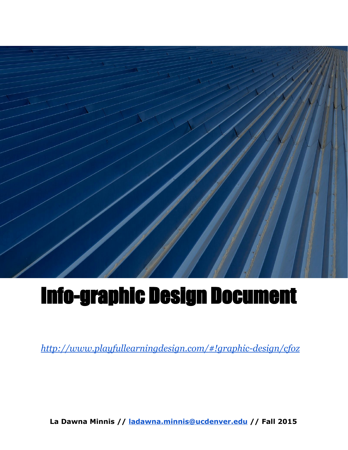

# Info-graphic Design Document

*<http://www.playfullearningdesign.com/#!graphic-design/cfoz>*

**La Dawna Minnis // [ladawna.minnis@ucdenver.edu](mailto:ladawna.minnis@ucdenver.edu)// Fall 2015**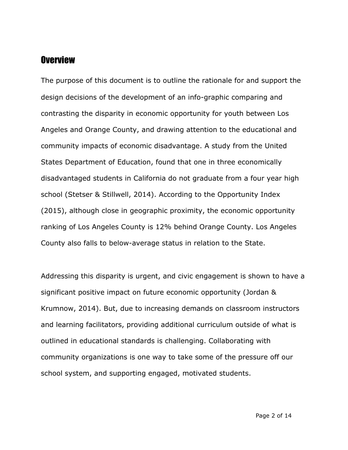#### **Overview**

The purpose of this document is to outline the rationale for and support the design decisions of the development of an info-graphic comparing and contrasting the disparity in economic opportunity for youth between Los Angeles and Orange County, and drawing attention to the educational and community impacts of economic disadvantage. A study from the United States Department of Education, found that one in three economically disadvantaged students in California do not graduate from a four year high school (Stetser & Stillwell, 2014). According to the Opportunity Index (2015), although close in geographic proximity, the economic opportunity ranking of Los Angeles County is 12% behind Orange County. Los Angeles County also falls to below-average status in relation to the State.

Addressing this disparity is urgent, and civic engagement is shown to have a significant positive impact on future economic opportunity (Jordan & Krumnow, 2014). But, due to increasing demands on classroom instructors and learning facilitators, providing additional curriculum outside of what is outlined in educational standards is challenging. Collaborating with community organizations is one way to take some of the pressure off our school system, and supporting engaged, motivated students.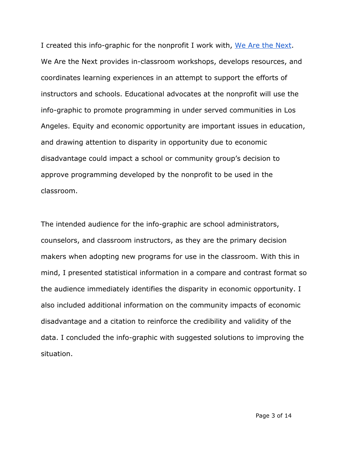I created this info-graphic for the nonprofit I work with, We Are the [Next.](http://www.wearethenext.org/) We Are the Next provides in-classroom workshops, develops resources, and coordinates learning experiences in an attempt to support the efforts of instructors and schools. Educational advocates at the nonprofit will use the info-graphic to promote programming in under served communities in Los Angeles. Equity and economic opportunity are important issues in education, and drawing attention to disparity in opportunity due to economic disadvantage could impact a school or community group's decision to approve programming developed by the nonprofit to be used in the classroom.

The intended audience for the info-graphic are school administrators, counselors, and classroom instructors, as they are the primary decision makers when adopting new programs for use in the classroom. With this in mind, I presented statistical information in a compare and contrast format so the audience immediately identifies the disparity in economic opportunity. I also included additional information on the community impacts of economic disadvantage and a citation to reinforce the credibility and validity of the data. I concluded the info-graphic with suggested solutions to improving the situation.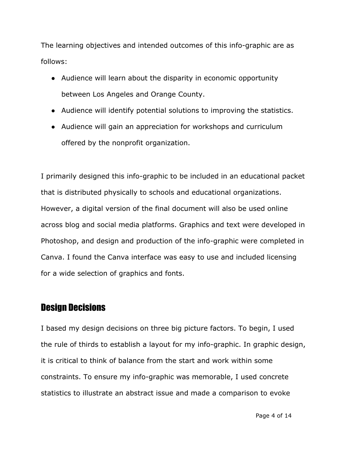The learning objectives and intended outcomes of this info-graphic are as follows:

- Audience will learn about the disparity in economic opportunity between Los Angeles and Orange County.
- Audience will identify potential solutions to improving the statistics.
- Audience will gain an appreciation for workshops and curriculum offered by the nonprofit organization.

I primarily designed this info-graphic to be included in an educational packet that is distributed physically to schools and educational organizations. However, a digital version of the final document will also be used online across blog and social media platforms. Graphics and text were developed in Photoshop, and design and production of the info-graphic were completed in Canva. I found the Canva interface was easy to use and included licensing for a wide selection of graphics and fonts.

# Design Decisions

I based my design decisions on three big picture factors. To begin, I used the rule of thirds to establish a layout for my info-graphic. In graphic design, it is critical to think of balance from the start and work within some constraints. To ensure my info-graphic was memorable, I used concrete statistics to illustrate an abstract issue and made a comparison to evoke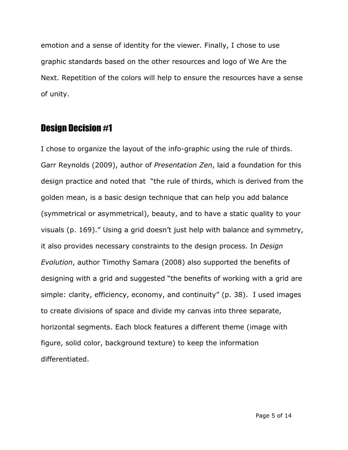emotion and a sense of identity for the viewer. Finally, I chose to use graphic standards based on the other resources and logo of We Are the Next. Repetition of the colors will help to ensure the resources have a sense of unity.

# Design Decision #1

I chose to organize the layout of the info-graphic using the rule of thirds. Garr Reynolds (2009), author of *Presentation Zen*, laid a foundation for this design practice and noted that "the rule of thirds, which is derived from the golden mean, is a basic design technique that can help you add balance (symmetrical or asymmetrical), beauty, and to have a static quality to your visuals (p. 169)." Using a grid doesn't just help with balance and symmetry, it also provides necessary constraints to the design process. In *Design Evolution*, author Timothy Samara (2008) also supported the benefits of designing with a grid and suggested "the benefits of working with a grid are simple: clarity, efficiency, economy, and continuity" (p. 38). I used images to create divisions of space and divide my canvas into three separate, horizontal segments. Each block features a different theme (image with figure, solid color, background texture) to keep the information differentiated.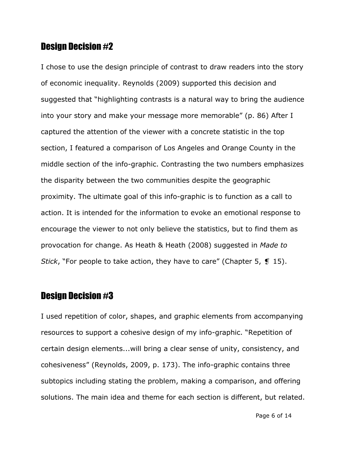#### Design Decision #2

I chose to use the design principle of contrast to draw readers into the story of economic inequality. Reynolds (2009) supported this decision and suggested that "highlighting contrasts is a natural way to bring the audience into your story and make your message more memorable" (p. 86) After I captured the attention of the viewer with a concrete statistic in the top section, I featured a comparison of Los Angeles and Orange County in the middle section of the info-graphic. Contrasting the two numbers emphasizes the disparity between the two communities despite the geographic proximity. The ultimate goal of this info-graphic is to function as a call to action. It is intended for the information to evoke an emotional response to encourage the viewer to not only believe the statistics, but to find them as provocation for change. As Heath & Heath (2008) suggested in *Made to Stick*, "For people to take action, they have to care" (Chapter 5, ❡ 15).

#### Design Decision #3

I used repetition of color, shapes, and graphic elements from accompanying resources to support a cohesive design of my info-graphic. "Repetition of certain design elements...will bring a clear sense of unity, consistency, and cohesiveness" (Reynolds, 2009, p. 173). The info-graphic contains three subtopics including stating the problem, making a comparison, and offering solutions. The main idea and theme for each section is different, but related.

Page 6 of 14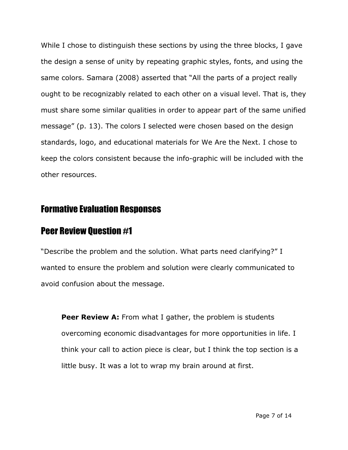While I chose to distinguish these sections by using the three blocks, I gave the design a sense of unity by repeating graphic styles, fonts, and using the same colors. Samara (2008) asserted that "All the parts of a project really ought to be recognizably related to each other on a visual level. That is, they must share some similar qualities in order to appear part of the same unified message" (p. 13). The colors I selected were chosen based on the design standards, logo, and educational materials for We Are the Next. I chose to keep the colors consistent because the info-graphic will be included with the other resources.

# Formative Evaluation Responses

#### Peer Review Question #1

"Describe the problem and the solution. What parts need clarifying?" I wanted to ensure the problem and solution were clearly communicated to avoid confusion about the message.

**Peer Review A:** From what I gather, the problem is students overcoming economic disadvantages for more opportunities in life. I think your call to action piece is clear, but I think the top section is a little busy. It was a lot to wrap my brain around at first.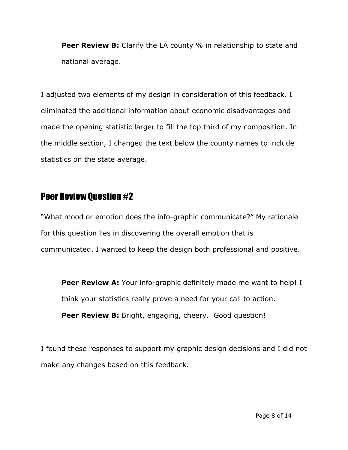**Peer Review B:**Clarify the LA county % in relationship to state and national average.

I adjusted two elements of my design in consideration of this feedback. I eliminated the additional information about economic disadvantages and made the opening statistic larger to fill the top third of my composition. In the middle section, I changed the text below the county names to include statistics on the state average.

# Peer Review Question #2

"What mood or emotion does the info-graphic communicate?" My rationale for this question lies in discovering the overall emotion that is communicated. I wanted to keep the design both professional and positive.

**Peer Review A:** Your info-graphic definitely made me want to help! I think your statistics really prove a need for your call to action. **Peer Review B:** Bright, engaging, cheery. Good question!

I found these responses to support my graphic design decisions and I did not make any changes based on this feedback.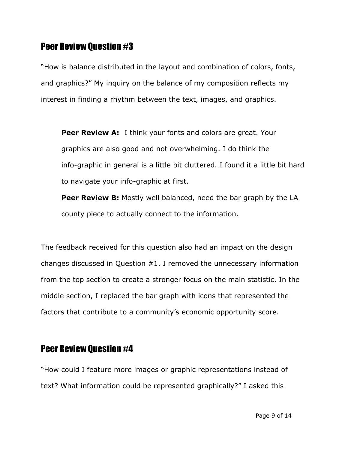#### Peer Review Question #3

"How is balance distributed in the layout and combination of colors, fonts, and graphics?" My inquiry on the balance of my composition reflects my interest in finding a rhythm between the text, images, and graphics.

**Peer Review A:**I think your fonts and colors are great. Your graphics are also good and not overwhelming. I do think the info-graphic in general is a little bit cluttered. I found it a little bit hard to navigate your info-graphic at first.

**Peer Review B:** Mostly well balanced, need the bar graph by the LA county piece to actually connect to the information.

The feedback received for this question also had an impact on the design changes discussed in Question #1. I removed the unnecessary information from the top section to create a stronger focus on the main statistic. In the middle section, I replaced the bar graph with icons that represented the factors that contribute to a community's economic opportunity score.

# Peer Review Question #4

"How could I feature more images or graphic representations instead of text? What information could be represented graphically?" I asked this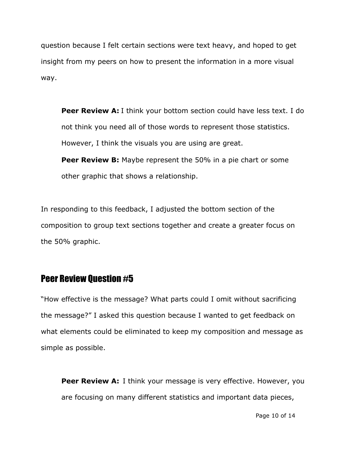question because I felt certain sections were text heavy, and hoped to get insight from my peers on how to present the information in a more visual way.

**Peer Review A:**I think your bottom section could have less text. I do not think you need all of those words to represent those statistics. However, I think the visuals you are using are great.

**Peer Review B:** Maybe represent the 50% in a pie chart or some other graphic that shows a relationship.

In responding to this feedback, I adjusted the bottom section of the composition to group text sections together and create a greater focus on the 50% graphic.

# Peer Review Question #5

"How effective is the message? What parts could I omit without sacrificing the message?" I asked this question because I wanted to get feedback on what elements could be eliminated to keep my composition and message as simple as possible.

**Peer Review A:** I think your message is very effective. However, you are focusing on many different statistics and important data pieces,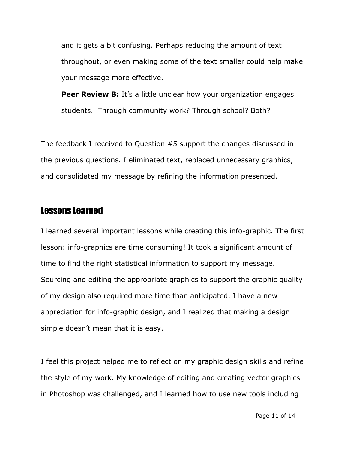and it gets a bit confusing. Perhaps reducing the amount of text throughout, or even making some of the text smaller could help make your message more effective.

**Peer Review B:** It's a little unclear how your organization engages students. Through community work? Through school? Both?

The feedback I received to Question #5 support the changes discussed in the previous questions. I eliminated text, replaced unnecessary graphics, and consolidated my message by refining the information presented.

#### Lessons Learned

I learned several important lessons while creating this info-graphic. The first lesson: info-graphics are time consuming! It took a significant amount of time to find the right statistical information to support my message. Sourcing and editing the appropriate graphics to support the graphic quality of my design also required more time than anticipated. I have a new appreciation for info-graphic design, and I realized that making a design simple doesn't mean that it is easy.

I feel this project helped me to reflect on my graphic design skills and refine the style of my work. My knowledge of editing and creating vector graphics in Photoshop was challenged, and I learned how to use new tools including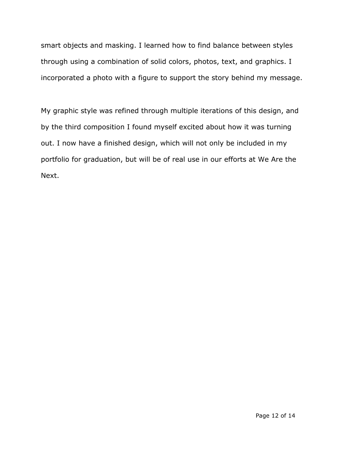smart objects and masking. I learned how to find balance between styles through using a combination of solid colors, photos, text, and graphics. I incorporated a photo with a figure to support the story behind my message.

My graphic style was refined through multiple iterations of this design, and by the third composition I found myself excited about how it was turning out. I now have a finished design, which will not only be included in my portfolio for graduation, but will be of real use in our efforts at We Are the Next.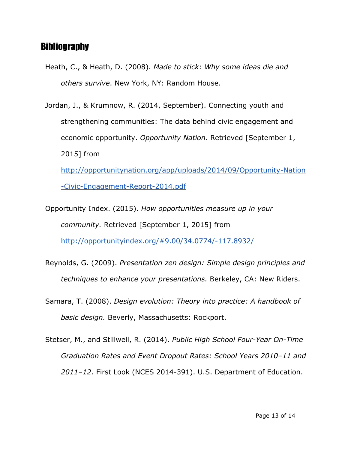#### **Bibliography**

- Heath, C., & Heath, D. (2008). *Made to stick: Why some ideas die and others survive*. New York, NY: Random House.
- Jordan, J., & Krumnow, R. (2014, September). Connecting youth and strengthening communities: The data behind civic engagement and economic opportunity. *Opportunity Nation*. Retrieved [September 1, 2015] from

[http://opportunitynation.org/app/uploads/2014/09/Opportunity-Nation](http://opportunitynation.org/app/uploads/2014/09/Opportunity-Nation-Civic-Engagement-Report-2014.pdf) [-Civic-Engagement-Report-2014.pdf](http://opportunitynation.org/app/uploads/2014/09/Opportunity-Nation-Civic-Engagement-Report-2014.pdf)

- Opportunity Index. (2015). *How opportunities measure up in your community.* Retrieved [September 1, 2015] from <http://opportunityindex.org/#9.00/34.0774/-117.8932/>
- Reynolds, G. (2009). *Presentation zen design: Simple design principles and techniques to enhance your presentations.* Berkeley, CA: New Riders.
- Samara, T. (2008). *Design evolution: Theory into practice: A handbook of basic design.* Beverly, Massachusetts: Rockport.
- Stetser, M., and Stillwell, R. (2014). *Public High School Four-Year On-Time Graduation Rates and Event Dropout Rates: School Years 2010–11 and 2011–12*. First Look (NCES 2014-391). U.S. Department of Education.